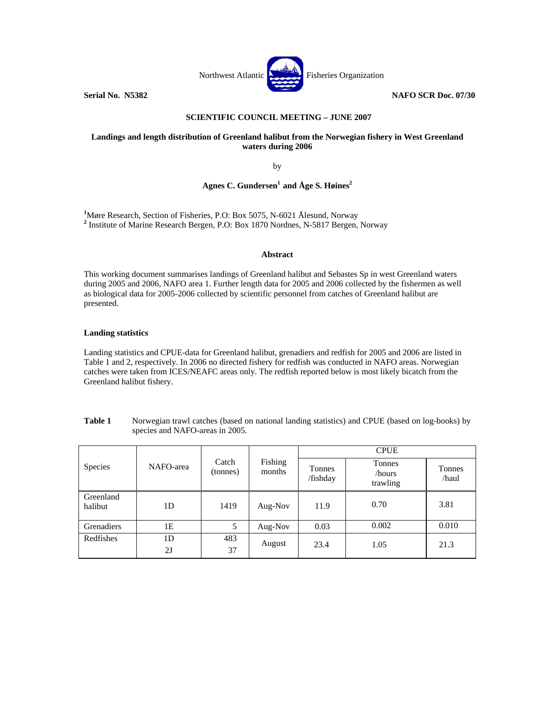

## **SCIENTIFIC COUNCIL MEETING – JUNE 2007**

### **Landings and length distribution of Greenland halibut from the Norwegian fishery in West Greenland waters during 2006**

by

# Agnes C. Gundersen<sup>1</sup> and Åge S. Høines<sup>2</sup>

**1** Møre Research, Section of Fisheries, P.O: Box 5075, N-6021 Ålesund, Norway **<sup>2</sup>** Institute of Marine Research Bergen, P.O: Box 1870 Nordnes, N-5817 Bergen, Norway

#### **Abstract**

This working document summarises landings of Greenland halibut and Sebastes Sp in west Greenland waters during 2005 and 2006, NAFO area 1. Further length data for 2005 and 2006 collected by the fishermen as well as biological data for 2005-2006 collected by scientific personnel from catches of Greenland halibut are presented.

#### **Landing statistics**

Landing statistics and CPUE-data for Greenland halibut, grenadiers and redfish for 2005 and 2006 are listed in Table 1 and 2, respectively. In 2006 no directed fishery for redfish was conducted in NAFO areas. Norwegian catches were taken from ICES/NEAFC areas only. The redfish reported below is most likely bicatch from the Greenland halibut fishery.

|                      | NAFO-area      | Catch<br>(tonnes) | Fishing<br>months | <b>CPUE</b>        |                              |                 |  |
|----------------------|----------------|-------------------|-------------------|--------------------|------------------------------|-----------------|--|
| <b>Species</b>       |                |                   |                   | Tonnes<br>/fishday | Tonnes<br>/hours<br>trawling | Tonnes<br>/haul |  |
| Greenland<br>halibut | 1 <sub>D</sub> | 1419              | Aug-Nov           | 11.9               | 0.70                         | 3.81            |  |
| Grenadiers           | 1Ε             | 5                 | Aug-Nov           | 0.03               | 0.002                        | 0.010           |  |
| Redfishes            | 1D<br>2J       | 483<br>37         | August            | 23.4               | 1.05                         | 21.3            |  |

**Table 1** Norwegian trawl catches (based on national landing statistics) and CPUE (based on log-books) by species and NAFO-areas in 2005.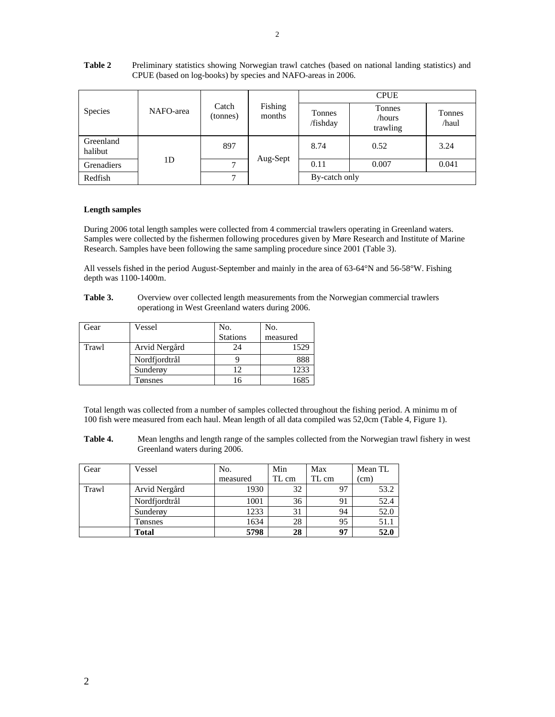| Species              | NAFO-area      | Catch<br>(tonnes) | Fishing<br>months | <b>CPUE</b>        |                              |                 |
|----------------------|----------------|-------------------|-------------------|--------------------|------------------------------|-----------------|
|                      |                |                   |                   | Tonnes<br>/fishday | Tonnes<br>/hours<br>trawling | Tonnes<br>/haul |
| Greenland<br>halibut | 1 <sub>D</sub> | 897               | Aug-Sept          | 8.74               | 0.52                         | 3.24            |
| Grenadiers           |                | ⇁                 |                   | 0.11               | 0.007                        | 0.041           |
| Redfish              |                | $\mathbf{r}$      |                   | By-catch only      |                              |                 |

## **Table 2** Preliminary statistics showing Norwegian trawl catches (based on national landing statistics) and CPUE (based on log-books) by species and NAFO-areas in 2006.

### **Length samples**

During 2006 total length samples were collected from 4 commercial trawlers operating in Greenland waters. Samples were collected by the fishermen following procedures given by Møre Research and Institute of Marine Research. Samples have been following the same sampling procedure since 2001 (Table 3).

All vessels fished in the period August-September and mainly in the area of 63-64°N and 56-58°W. Fishing depth was 1100-1400m.

**Table 3.** Overview over collected length measurements from the Norwegian commercial trawlers operationg in West Greenland waters during 2006.

| Gear  | Vessel        | No.             | No.      |
|-------|---------------|-----------------|----------|
|       |               | <b>Stations</b> | measured |
| Trawl | Arvid Nergård | 24              | 1529     |
|       | Nordfjordtrål |                 |          |
|       | Sunderøy      | 12              | 1233     |
|       | Fønsnes       |                 |          |

Total length was collected from a number of samples collected throughout the fishing period. A minimu m of 100 fish were measured from each haul. Mean length of all data compiled was 52,0cm (Table 4, Figure 1).

**Table 4.** Mean lengths and length range of the samples collected from the Norwegian trawl fishery in west Greenland waters during 2006.

| Gear  | Vessel        | No.      | Min   | Max   | Mean TL |
|-------|---------------|----------|-------|-------|---------|
|       |               | measured | TL cm | TL cm | (cm)    |
| Trawl | Arvid Nergård | 1930     | 32    | 97    | 53.2    |
|       | Nordfjordtrål | 1001     | 36    | 91    | 52.4    |
|       | Sunderøy      | 1233     | 31    | 94    | 52.0    |
|       | Tønsnes       | 1634     | 28    | 95    | 51.1    |
|       | <b>Total</b>  | 5798     | 28    | 97    | 52.0    |